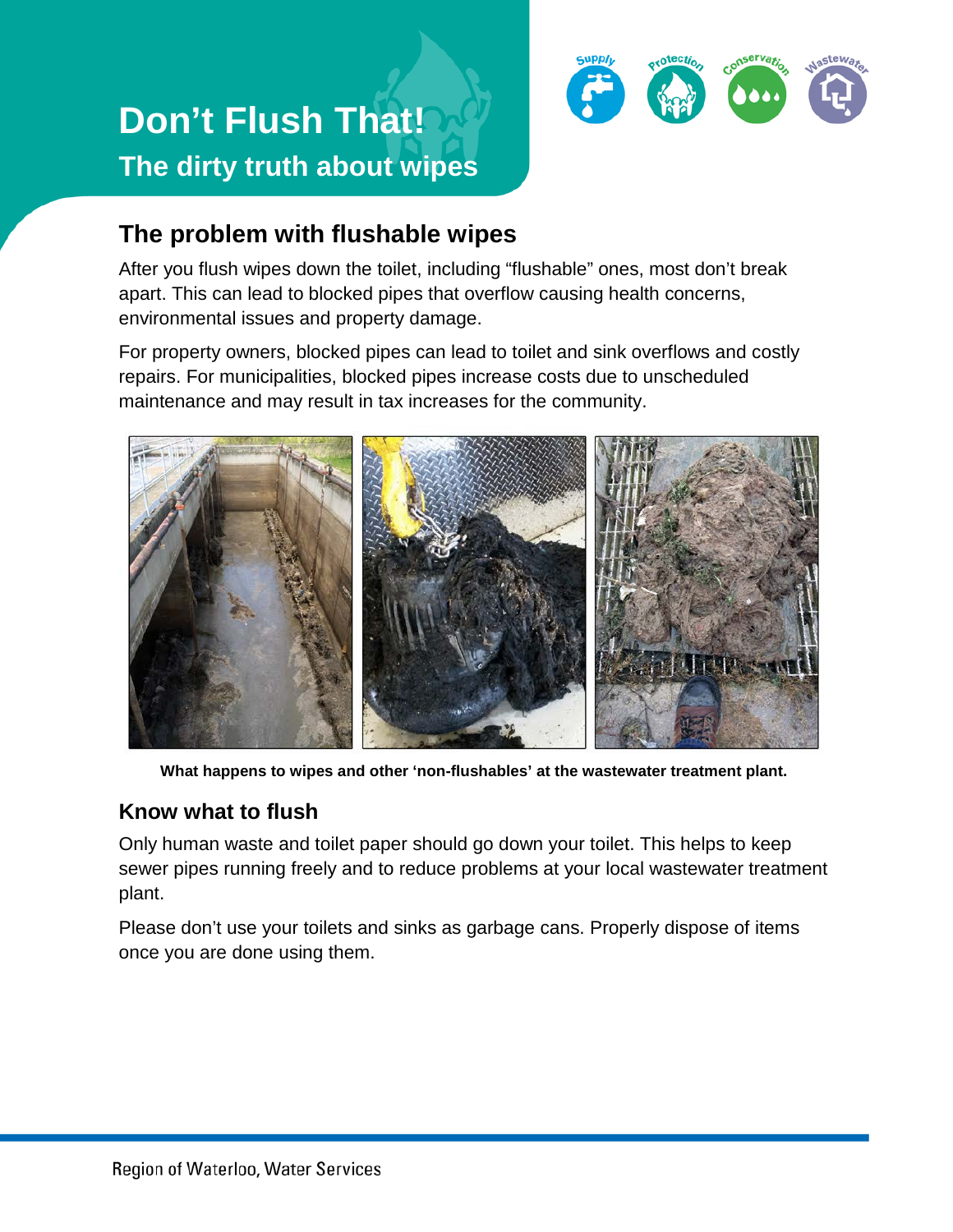



## **The problem with flushable wipes**

After you flush wipes down the toilet, including "flushable" ones, most don't break apart. This can lead to blocked pipes that overflow causing health concerns, environmental issues and property damage.

For property owners, blocked pipes can lead to toilet and sink overflows and costly repairs. For municipalities, blocked pipes increase costs due to unscheduled maintenance and may result in tax increases for the community.



**What happens to wipes and other 'non-flushables' at the wastewater treatment plant.**

## **Know what to flush**

Only human waste and toilet paper should go down your toilet. This helps to keep sewer pipes running freely and to reduce problems at your local wastewater treatment plant.

Please don't use your toilets and sinks as garbage cans. Properly dispose of items once you are done using them.